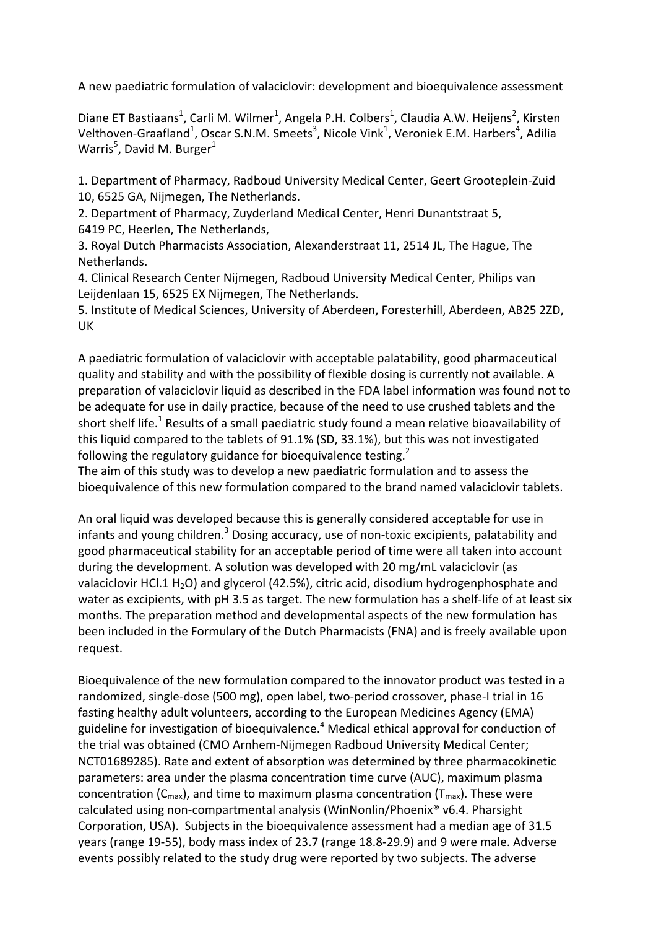A new paediatric formulation of valaciclovir: development and bioequivalence assessment

Diane ET Bastiaans<sup>1</sup>, Carli M. Wilmer<sup>1</sup>, Angela P.H. Colbers<sup>1</sup>, Claudia A.W. Heijens<sup>2</sup>, Kirsten Velthoven-Graafland<sup>1</sup>, Oscar S.N.M. Smeets<sup>3</sup>, Nicole Vink<sup>1</sup>, Veroniek E.M. Harbers<sup>4</sup>, Adilia Warris<sup>5</sup>, David M. Burger<sup>1</sup>

1. Department of Pharmacy, Radboud University Medical Center, Geert Grooteplein-Zuid 10, 6525 GA, Nijmegen, The Netherlands.

2. Department of Pharmacy, Zuyderland Medical Center, Henri Dunantstraat 5, 6419 PC, Heerlen, The Netherlands,

3. Royal Dutch Pharmacists Association, Alexanderstraat 11, 2514 JL, The Hague, The Netherlands.

4. Clinical Research Center Nijmegen, Radboud University Medical Center, Philips van Leijdenlaan 15, 6525 EX Nijmegen, The Netherlands.

5. Institute of Medical Sciences, University of Aberdeen, Foresterhill, Aberdeen, AB25 2ZD, UK

A paediatric formulation of valaciclovir with acceptable palatability, good pharmaceutical quality and stability and with the possibility of flexible dosing is currently not available. A preparation of valaciclovir liquid as described in the FDA label information was found not to be adequate for use in daily practice, because of the need to use crushed tablets and the short shelf life.<sup>1</sup> Results of a small paediatric study found a mean relative bioavailability of this liquid compared to the tablets of 91.1% (SD, 33.1%), but this was not investigated following the regulatory guidance for bioequivalence testing.<sup>2</sup>

The aim of this study was to develop a new paediatric formulation and to assess the bioequivalence of this new formulation compared to the brand named valaciclovir tablets.

An oral liquid was developed because this is generally considered acceptable for use in infants and young children.<sup>3</sup> Dosing accuracy, use of non-toxic excipients, palatability and good pharmaceutical stability for an acceptable period of time were all taken into account during the development. A solution was developed with 20 mg/mL valaciclovir (as valaciclovir HCl.1  $H_2O$ ) and glycerol (42.5%), citric acid, disodium hydrogenphosphate and water as excipients, with pH 3.5 as target. The new formulation has a shelf-life of at least six months. The preparation method and developmental aspects of the new formulation has been included in the Formulary of the Dutch Pharmacists (FNA) and is freely available upon request.

Bioequivalence of the new formulation compared to the innovator product was tested in a randomized, single-dose (500 mg), open label, two-period crossover, phase-I trial in 16 fasting healthy adult volunteers, according to the European Medicines Agency (EMA) guideline for investigation of bioequivalence.<sup>4</sup> Medical ethical approval for conduction of the trial was obtained (CMO Arnhem-Nijmegen Radboud University Medical Center; NCT01689285). Rate and extent of absorption was determined by three pharmacokinetic parameters: area under the plasma concentration time curve (AUC), maximum plasma concentration  $(C_{\text{max}})$ , and time to maximum plasma concentration  $(T_{\text{max}})$ . These were calculated using non-compartmental analysis (WinNonlin/Phoenix® v6.4. Pharsight Corporation, USA). Subjects in the bioequivalence assessment had a median age of 31.5 years (range 19-55), body mass index of 23.7 (range 18.8-29.9) and 9 were male. Adverse events possibly related to the study drug were reported by two subjects. The adverse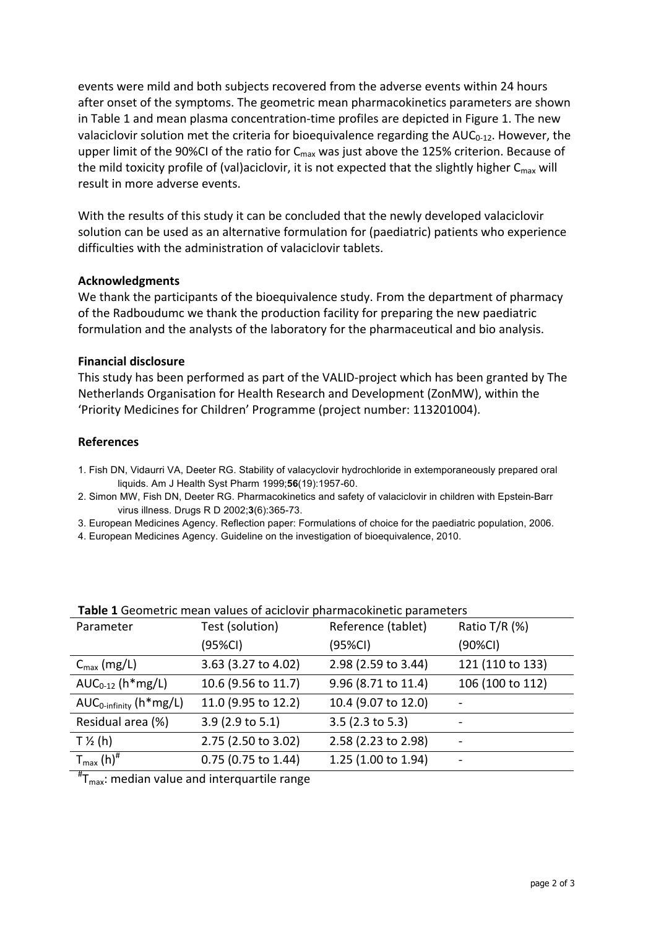events were mild and both subjects recovered from the adverse events within 24 hours after onset of the symptoms. The geometric mean pharmacokinetics parameters are shown in Table 1 and mean plasma concentration-time profiles are depicted in Figure 1. The new valaciclovir solution met the criteria for bioequivalence regarding the  $AUC_{0-12}$ . However, the upper limit of the 90%CI of the ratio for  $C_{\text{max}}$  was just above the 125% criterion. Because of the mild toxicity profile of (val)aciclovir, it is not expected that the slightly higher  $C_{\text{max}}$  will result in more adverse events.

With the results of this study it can be concluded that the newly developed valaciclovir solution can be used as an alternative formulation for (paediatric) patients who experience difficulties with the administration of valaciclovir tablets.

## **Acknowledgments**

We thank the participants of the bioequivalence study. From the department of pharmacy of the Radboudumc we thank the production facility for preparing the new paediatric formulation and the analysts of the laboratory for the pharmaceutical and bio analysis.

## **Financial disclosure**

This study has been performed as part of the VALID-project which has been granted by The Netherlands Organisation for Health Research and Development (ZonMW), within the 'Priority Medicines for Children' Programme (project number: 113201004).

## **References**

- 1. Fish DN, Vidaurri VA, Deeter RG. Stability of valacyclovir hydrochloride in extemporaneously prepared oral liquids. Am J Health Syst Pharm 1999;**56**(19):1957-60.
- 2. Simon MW, Fish DN, Deeter RG. Pharmacokinetics and safety of valaciclovir in children with Epstein-Barr virus illness. Drugs R D 2002;**3**(6):365-73.
- 3. European Medicines Agency. Reflection paper: Formulations of choice for the paediatric population, 2006.
- 4. European Medicines Agency. Guideline on the investigation of bioequivalence, 2010.

| Test (solution)     | Reference (tablet)  | Ratio T/R (%)    |
|---------------------|---------------------|------------------|
| (95%CI)             | (95%CI)             | (90%CI)          |
| 3.63 (3.27 to 4.02) | 2.98 (2.59 to 3.44) | 121 (110 to 133) |
| 10.6 (9.56 to 11.7) | 9.96 (8.71 to 11.4) | 106 (100 to 112) |
| 11.0 (9.95 to 12.2) | 10.4 (9.07 to 12.0) |                  |
| 3.9(2.9 to 5.1)     | 3.5 (2.3 to 5.3)    |                  |
| 2.75 (2.50 to 3.02) | 2.58 (2.23 to 2.98) |                  |
| 0.75 (0.75 to 1.44) | 1.25 (1.00 to 1.94) |                  |
|                     |                     |                  |

## **Table 1** Geometric mean values of aciclovir pharmacokinetic parameters

 $*_{\mathsf{T}_{\mathsf{max}}}$ : median value and interquartile range